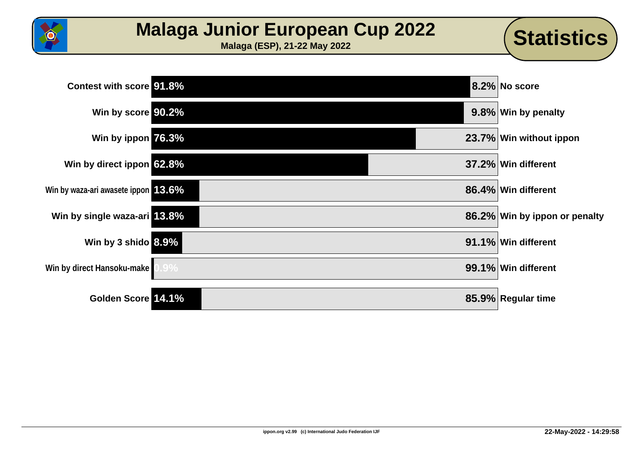